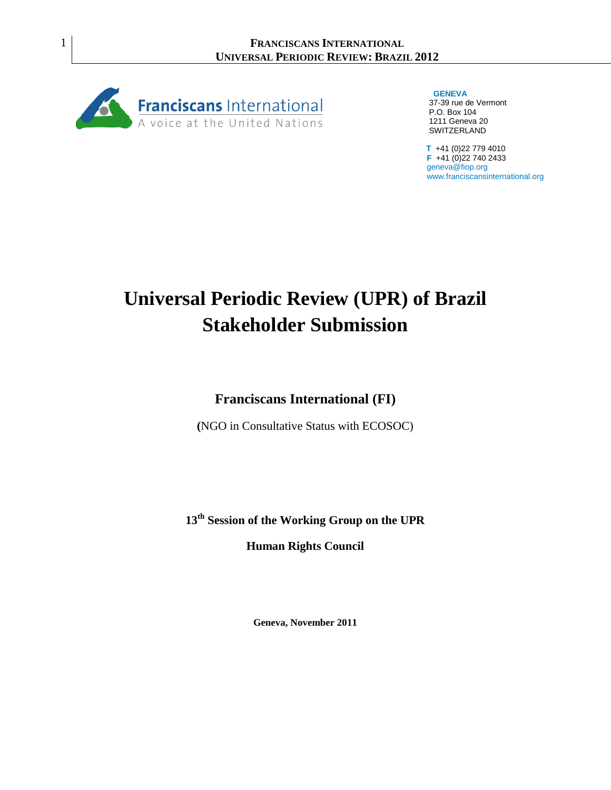

 **GENEVA** 37-39 rue de Vermont P.O. Box 104 1211 Geneva 20 SWITZERLAND

 **T** +41 (0)22 779 4010  **F** +41 (0)22 740 2433 geneva@fiop.org www.franciscansinternational.org

# **Universal Periodic Review (UPR) of Brazil Stakeholder Submission**

**Franciscans International (FI)**

**(**NGO in Consultative Status with ECOSOC)

**13th Session of the Working Group on the UPR**

**Human Rights Council**

**Geneva, November 2011**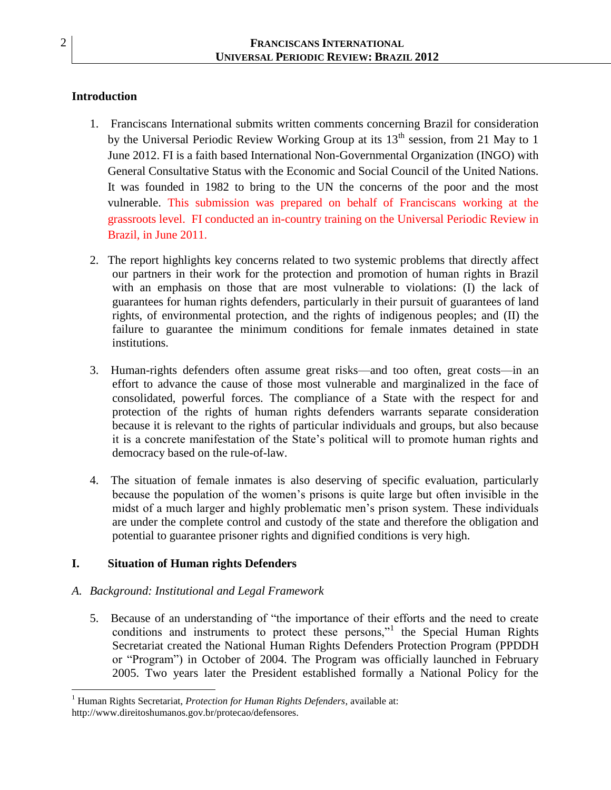# **Introduction**

- 1. Franciscans International submits written comments concerning Brazil for consideration by the Universal Periodic Review Working Group at its  $13<sup>th</sup>$  session, from 21 May to 1 June 2012. FI is a faith based International Non-Governmental Organization (INGO) with General Consultative Status with the Economic and Social Council of the United Nations. It was founded in 1982 to bring to the UN the concerns of the poor and the most vulnerable. This submission was prepared on behalf of Franciscans working at the grassroots level. FI conducted an in-country training on the Universal Periodic Review in Brazil, in June 2011.
- 2. The report highlights key concerns related to two systemic problems that directly affect our partners in their work for the protection and promotion of human rights in Brazil with an emphasis on those that are most vulnerable to violations: (I) the lack of guarantees for human rights defenders, particularly in their pursuit of guarantees of land rights, of environmental protection, and the rights of indigenous peoples; and (II) the failure to guarantee the minimum conditions for female inmates detained in state institutions.
- 3. Human-rights defenders often assume great risks—and too often, great costs—in an effort to advance the cause of those most vulnerable and marginalized in the face of consolidated, powerful forces. The compliance of a State with the respect for and protection of the rights of human rights defenders warrants separate consideration because it is relevant to the rights of particular individuals and groups, but also because it is a concrete manifestation of the State's political will to promote human rights and democracy based on the rule-of-law.
- 4. The situation of female inmates is also deserving of specific evaluation, particularly because the population of the women's prisons is quite large but often invisible in the midst of a much larger and highly problematic men's prison system. These individuals are under the complete control and custody of the state and therefore the obligation and potential to guarantee prisoner rights and dignified conditions is very high.

## **I. Situation of Human rights Defenders**

## *A. Background: Institutional and Legal Framework*

5. Because of an understanding of "the importance of their efforts and the need to create conditions and instruments to protect these persons,"<sup>1</sup> the Special Human Rights Secretariat created the National Human Rights Defenders Protection Program (PPDDH or "Program") in October of 2004. The Program was officially launched in February 2005. Two years later the President established formally a National Policy for the

 $\overline{\phantom{a}}$ <sup>1</sup> Human Rights Secretariat, *Protection for Human Rights Defenders*, available at:

http://www.direitoshumanos.gov.br/protecao/defensores.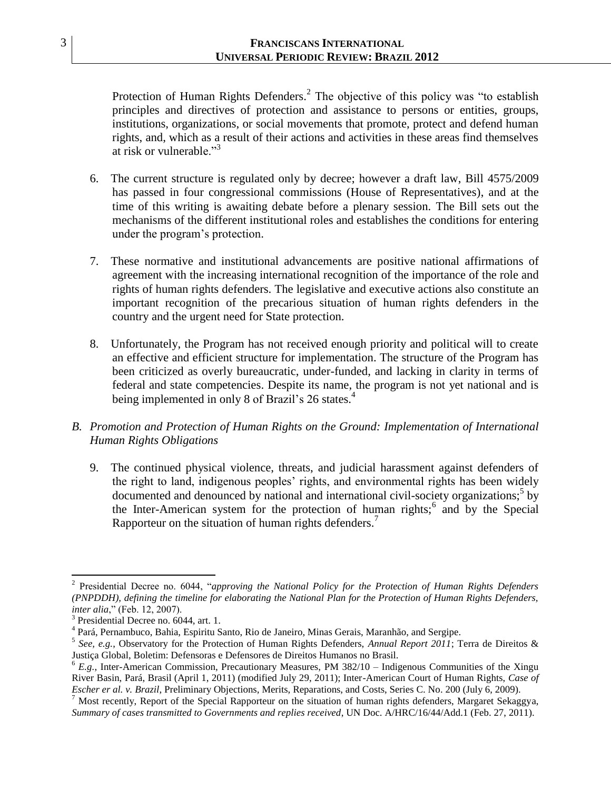Protection of Human Rights Defenders.<sup>2</sup> The objective of this policy was "to establish principles and directives of protection and assistance to persons or entities, groups, institutions, organizations, or social movements that promote, protect and defend human rights, and, which as a result of their actions and activities in these areas find themselves at risk or vulnerable. $\frac{3}{3}$ 

- 6. The current structure is regulated only by decree; however a draft law, Bill 4575/2009 has passed in four congressional commissions (House of Representatives), and at the time of this writing is awaiting debate before a plenary session. The Bill sets out the mechanisms of the different institutional roles and establishes the conditions for entering under the program's protection.
- 7. These normative and institutional advancements are positive national affirmations of agreement with the increasing international recognition of the importance of the role and rights of human rights defenders. The legislative and executive actions also constitute an important recognition of the precarious situation of human rights defenders in the country and the urgent need for State protection.
- 8. Unfortunately, the Program has not received enough priority and political will to create an effective and efficient structure for implementation. The structure of the Program has been criticized as overly bureaucratic, under-funded, and lacking in clarity in terms of federal and state competencies. Despite its name, the program is not yet national and is being implemented in only 8 of Brazil's 26 states.<sup>4</sup>
- *B. Promotion and Protection of Human Rights on the Ground: Implementation of International Human Rights Obligations*
	- 9. The continued physical violence, threats, and judicial harassment against defenders of the right to land, indigenous peoples' rights, and environmental rights has been widely documented and denounced by national and international civil-society organizations;<sup>5</sup> by the Inter-American system for the protection of human rights;  $6 \text{ and }$  by the Special Rapporteur on the situation of human rights defenders.<sup>7</sup>

l 2 Presidential Decree no. 6044, "approving the National Policy for the Protection of Human Rights Defenders *(PNPDDH), defining the timeline for elaborating the National Plan for the Protection of Human Rights Defenders, inter alia*," (Feb. 12, 2007).

<sup>3</sup> Presidential Decree no. 6044, art. 1.

<sup>4</sup> Pará, Pernambuco, Bahia, Espiritu Santo, Rio de Janeiro, Minas Gerais, Maranhão, and Sergipe.

<sup>5</sup> *See, e.g.*, Observatory for the Protection of Human Rights Defenders, *Annual Report 2011*; Terra de Direitos & Justiça Global, Boletim: Defensoras e Defensores de Direitos Humanos no Brasil.

<sup>&</sup>lt;sup>6</sup> E.g., Inter-American Commission, Precautionary Measures, PM 382/10 – Indigenous Communities of the Xingu River Basin, Pará, Brasil (April 1, 2011) (modified July 29, 2011); Inter-American Court of Human Rights, *Case of Escher er al. v. Brazil*, Preliminary Objections, Merits, Reparations, and Costs, Series C. No. 200 (July 6, 2009).

 $^7$  Most recently, Report of the Special Rapporteur on the situation of human rights defenders, Margaret Sekaggya, *Summary of cases transmitted to Governments and replies received*, UN Doc. A/HRC/16/44/Add.1 (Feb. 27, 2011).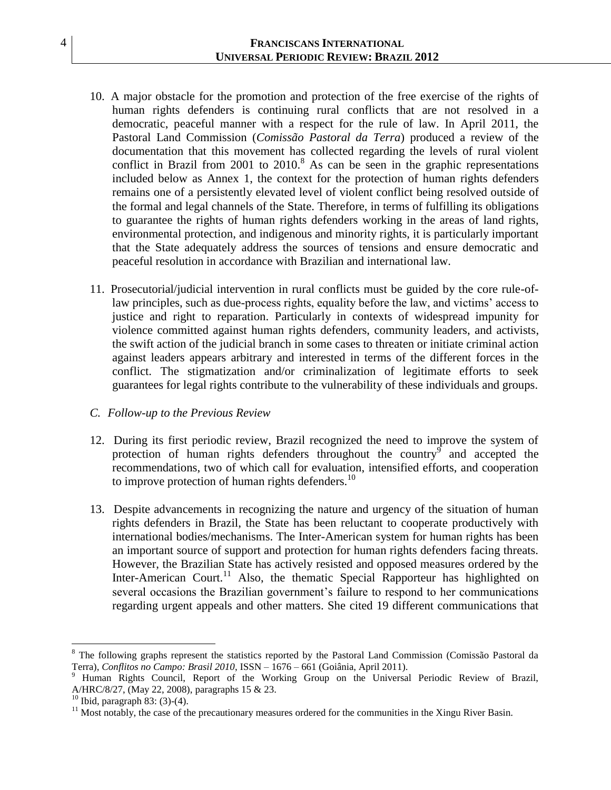- 10. A major obstacle for the promotion and protection of the free exercise of the rights of human rights defenders is continuing rural conflicts that are not resolved in a democratic, peaceful manner with a respect for the rule of law. In April 2011, the Pastoral Land Commission (*Comissão Pastoral da Terra*) produced a review of the documentation that this movement has collected regarding the levels of rural violent conflict in Brazil from  $2001$  to  $2010$ .<sup>8</sup> As can be seen in the graphic representations included below as Annex 1, the context for the protection of human rights defenders remains one of a persistently elevated level of violent conflict being resolved outside of the formal and legal channels of the State. Therefore, in terms of fulfilling its obligations to guarantee the rights of human rights defenders working in the areas of land rights, environmental protection, and indigenous and minority rights, it is particularly important that the State adequately address the sources of tensions and ensure democratic and peaceful resolution in accordance with Brazilian and international law.
- 11. Prosecutorial/judicial intervention in rural conflicts must be guided by the core rule-oflaw principles, such as due-process rights, equality before the law, and victims' access to justice and right to reparation. Particularly in contexts of widespread impunity for violence committed against human rights defenders, community leaders, and activists, the swift action of the judicial branch in some cases to threaten or initiate criminal action against leaders appears arbitrary and interested in terms of the different forces in the conflict. The stigmatization and/or criminalization of legitimate efforts to seek guarantees for legal rights contribute to the vulnerability of these individuals and groups.

#### *C. Follow-up to the Previous Review*

- 12. During its first periodic review, Brazil recognized the need to improve the system of protection of human rights defenders throughout the country  $\int$  and accepted the recommendations, two of which call for evaluation, intensified efforts, and cooperation to improve protection of human rights defenders.<sup>10</sup>
- 13. Despite advancements in recognizing the nature and urgency of the situation of human rights defenders in Brazil, the State has been reluctant to cooperate productively with international bodies/mechanisms. The Inter-American system for human rights has been an important source of support and protection for human rights defenders facing threats. However, the Brazilian State has actively resisted and opposed measures ordered by the Inter-American Court.<sup>11</sup> Also, the thematic Special Rapporteur has highlighted on several occasions the Brazilian government's failure to respond to her communications regarding urgent appeals and other matters. She cited 19 different communications that

l

<sup>8</sup> The following graphs represent the statistics reported by the Pastoral Land Commission (Comissão Pastoral da Terra), *Conflitos no Campo: Brasil 2010*, ISSN – 1676 – 661 (Goiânia, April 2011).

<sup>9</sup> Human Rights Council, Report of the Working Group on the Universal Periodic Review of Brazil, A/HRC/8/27, (May 22, 2008), paragraphs 15 & 23.

 $10$  Ibid, paragraph 83: (3)-(4).

<sup>&</sup>lt;sup>11</sup> Most notably, the case of the precautionary measures ordered for the communities in the Xingu River Basin.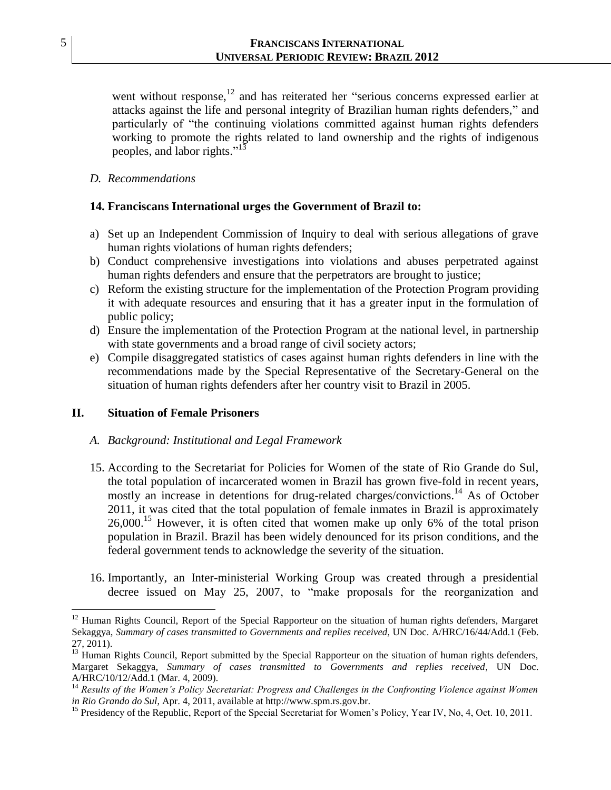went without response, $12$  and has reiterated her "serious concerns expressed earlier at attacks against the life and personal integrity of Brazilian human rights defenders," and particularly of "the continuing violations committed against human rights defenders working to promote the rights related to land ownership and the rights of indigenous peoples, and labor rights."<sup>13</sup>

*D. Recommendations*

#### **14. Franciscans International urges the Government of Brazil to:**

- a) Set up an Independent Commission of Inquiry to deal with serious allegations of grave human rights violations of human rights defenders;
- b) Conduct comprehensive investigations into violations and abuses perpetrated against human rights defenders and ensure that the perpetrators are brought to justice;
- c) Reform the existing structure for the implementation of the Protection Program providing it with adequate resources and ensuring that it has a greater input in the formulation of public policy;
- d) Ensure the implementation of the Protection Program at the national level, in partnership with state governments and a broad range of civil society actors;
- e) Compile disaggregated statistics of cases against human rights defenders in line with the recommendations made by the Special Representative of the Secretary-General on the situation of human rights defenders after her country visit to Brazil in 2005.

#### **II. Situation of Female Prisoners**

#### *A. Background: Institutional and Legal Framework*

- 15. According to the Secretariat for Policies for Women of the state of Rio Grande do Sul, the total population of incarcerated women in Brazil has grown five-fold in recent years, mostly an increase in detentions for drug-related charges/convictions.<sup>14</sup> As of October 2011, it was cited that the total population of female inmates in Brazil is approximately  $26,000$ <sup>15</sup> However, it is often cited that women make up only 6% of the total prison population in Brazil. Brazil has been widely denounced for its prison conditions, and the federal government tends to acknowledge the severity of the situation.
- 16. Importantly, an Inter-ministerial Working Group was created through a presidential decree issued on May 25, 2007, to "make proposals for the reorganization and

 $\overline{\phantom{a}}$ 

<sup>&</sup>lt;sup>12</sup> Human Rights Council, Report of the Special Rapporteur on the situation of human rights defenders, Margaret Sekaggya, *Summary of cases transmitted to Governments and replies received*, UN Doc. A/HRC/16/44/Add.1 (Feb. 27, 2011).

<sup>&</sup>lt;sup>13</sup> Human Rights Council, Report submitted by the Special Rapporteur on the situation of human rights defenders, Margaret Sekaggya, *Summary of cases transmitted to Governments and replies received*, UN Doc. A/HRC/10/12/Add.1 (Mar. 4, 2009).

<sup>&</sup>lt;sup>14</sup> Results of the Women's Policy Secretariat: Progress and Challenges in the Confronting Violence against Women *in Rio Grando do Sul*, Apr. 4, 2011, available at http://www.spm.rs.gov.br.

<sup>&</sup>lt;sup>15</sup> Presidency of the Republic, Report of the Special Secretariat for Women's Policy, Year IV, No, 4, Oct. 10, 2011.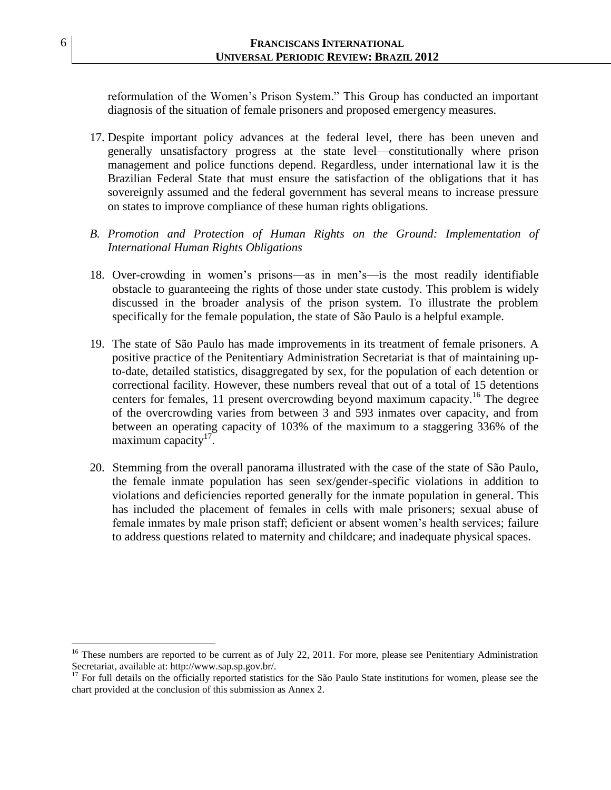reformulation of the Women's Prison System." This Group has conducted an important diagnosis of the situation of female prisoners and proposed emergency measures.

- 17. Despite important policy advances at the federal level, there has been uneven and generally unsatisfactory progress at the state level—constitutionally where prison management and police functions depend. Regardless, under international law it is the Brazilian Federal State that must ensure the satisfaction of the obligations that it has sovereignly assumed and the federal government has several means to increase pressure on states to improve compliance of these human rights obligations.
- *B. Promotion and Protection of Human Rights on the Ground: Implementation of International Human Rights Obligations*
- 18. Over-crowding in women's prisons—as in men's—is the most readily identifiable obstacle to guaranteeing the rights of those under state custody. This problem is widely discussed in the broader analysis of the prison system. To illustrate the problem specifically for the female population, the state of São Paulo is a helpful example.
- 19. The state of São Paulo has made improvements in its treatment of female prisoners. A positive practice of the Penitentiary Administration Secretariat is that of maintaining upto-date, detailed statistics, disaggregated by sex, for the population of each detention or correctional facility. However, these numbers reveal that out of a total of 15 detentions centers for females, 11 present overcrowding beyond maximum capacity. <sup>16</sup> The degree of the overcrowding varies from between 3 and 593 inmates over capacity, and from between an operating capacity of 103% of the maximum to a staggering 336% of the maximum capacity $17$ .
- 20. Stemming from the overall panorama illustrated with the case of the state of São Paulo, the female inmate population has seen sex/gender-specific violations in addition to violations and deficiencies reported generally for the inmate population in general. This has included the placement of females in cells with male prisoners; sexual abuse of female inmates by male prison staff; deficient or absent women's health services; failure to address questions related to maternity and childcare; and inadequate physical spaces.

 $\overline{\phantom{a}}$ 

 $16$  These numbers are reported to be current as of July 22, 2011. For more, please see Penitentiary Administration Secretariat, available at: http://www.sap.sp.gov.br/.

<sup>&</sup>lt;sup>17</sup> For full details on the officially reported statistics for the São Paulo State institutions for women, please see the chart provided at the conclusion of this submission as Annex 2.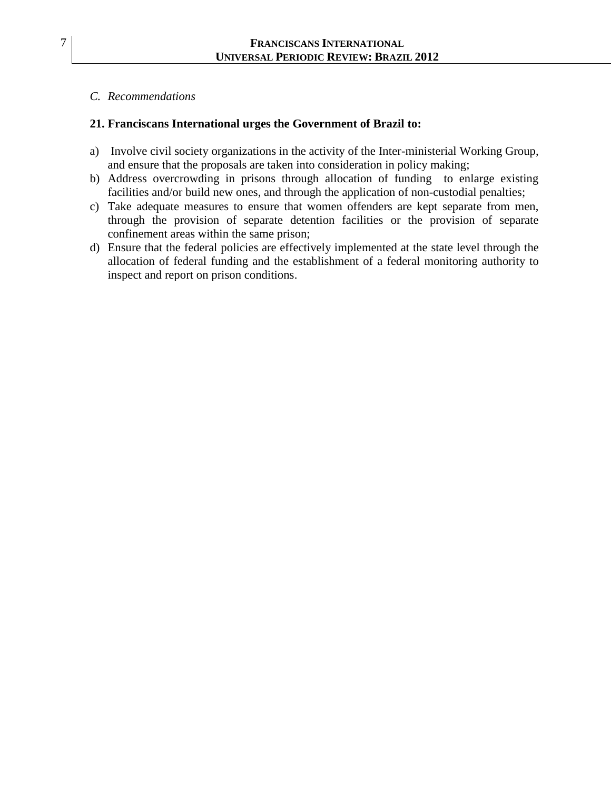### *C. Recommendations*

## **21. Franciscans International urges the Government of Brazil to:**

- a) Involve civil society organizations in the activity of the Inter-ministerial Working Group, and ensure that the proposals are taken into consideration in policy making;
- b) Address overcrowding in prisons through allocation of funding to enlarge existing facilities and/or build new ones, and through the application of non-custodial penalties;
- c) Take adequate measures to ensure that women offenders are kept separate from men, through the provision of separate detention facilities or the provision of separate confinement areas within the same prison;
- d) Ensure that the federal policies are effectively implemented at the state level through the allocation of federal funding and the establishment of a federal monitoring authority to inspect and report on prison conditions.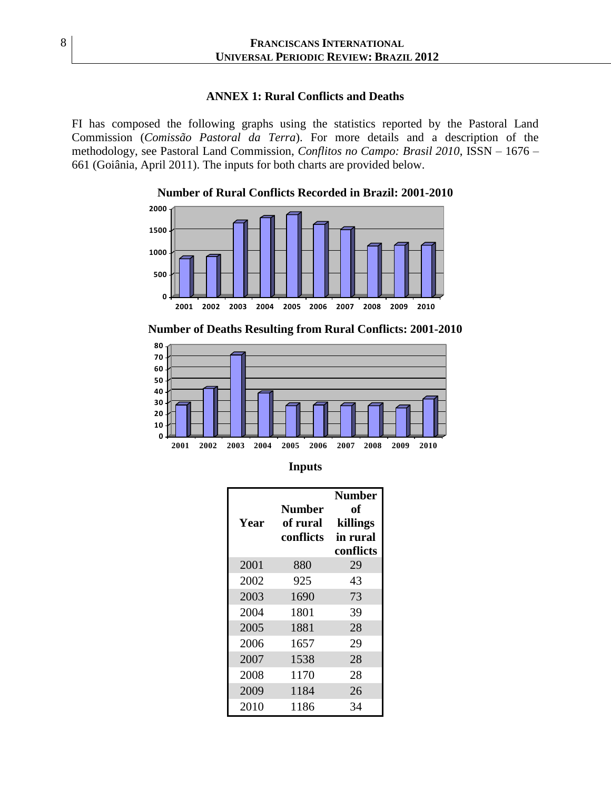#### **ANNEX 1: Rural Conflicts and Deaths**

FI has composed the following graphs using the statistics reported by the Pastoral Land Commission (*Comissão Pastoral da Terra*). For more details and a description of the methodology, see Pastoral Land Commission, *Conflitos no Campo: Brasil 2010*, ISSN – 1676 – 661 (Goiânia, April 2011). The inputs for both charts are provided below.

> **0 500 1000 1500 2000 2001 2002 2003 2004 2005 2006 2007 2008 2009 2010 Number of Rural Conflicts Recorded in Brazil: 2001-2010**



| Year | <b>Number</b><br>of rural<br>conflicts | <b>Number</b><br>оf<br>killings<br>in rural<br>conflicts |
|------|----------------------------------------|----------------------------------------------------------|
| 2001 | 880                                    | 29                                                       |
| 2002 | 925                                    | 43                                                       |
| 2003 | 1690                                   | 73                                                       |
| 2004 | 1801                                   | 39                                                       |
| 2005 | 1881                                   | 28                                                       |
| 2006 | 1657                                   | 29                                                       |
| 2007 | 1538                                   | 28                                                       |
| 2008 | 1170                                   | 28                                                       |
| 2009 | 1184                                   | 26                                                       |
| 2010 | 1186                                   | 34                                                       |